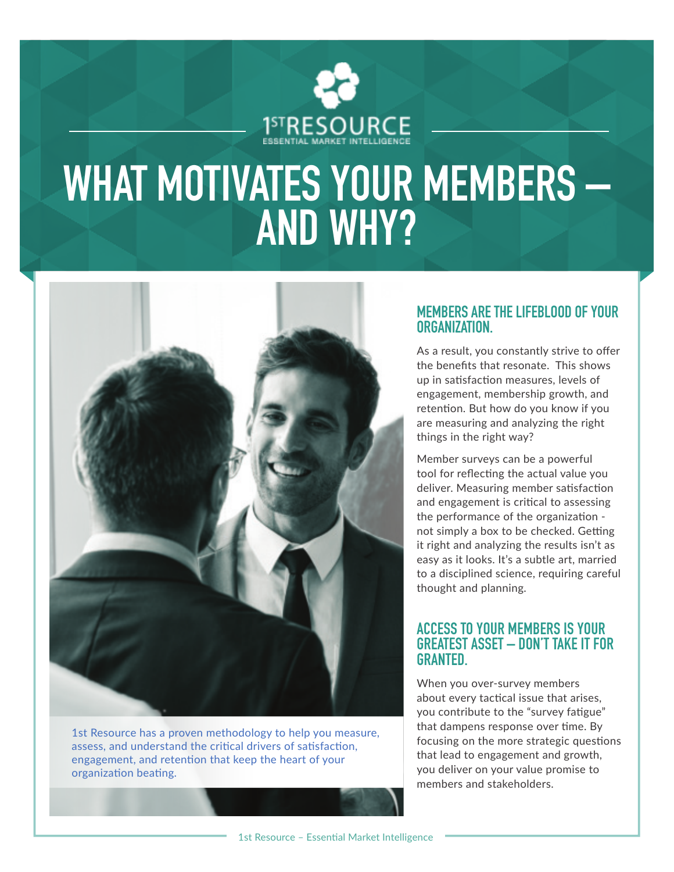

# **WHAT MOTIVATES YOUR MEMBERS – AND WHY?**



1st Resource has a proven methodology to help you measure, assess, and understand the critical drivers of satisfaction, engagement, and retention that keep the heart of your organization beating.

#### **MEMBERS ARE THE LIFEBLOOD OF YOUR ORGANIZATION.**

As a result, you constantly strive to offer the benefits that resonate. This shows up in satisfaction measures, levels of engagement, membership growth, and retention. But how do you know if you are measuring and analyzing the right things in the right way?

Member surveys can be a powerful tool for reflecting the actual value you deliver. Measuring member satisfaction and engagement is critical to assessing the performance of the organization not simply a box to be checked. Getting it right and analyzing the results isn't as easy as it looks. It's a subtle art, married to a disciplined science, requiring careful thought and planning.

#### **ACCESS TO YOUR MEMBERS IS YOUR GREATEST ASSET – DON'T TAKE IT FOR GRANTED.**

When you over-survey members about every tactical issue that arises, you contribute to the "survey fatigue" that dampens response over time. By focusing on the more strategic questions that lead to engagement and growth, you deliver on your value promise to members and stakeholders.